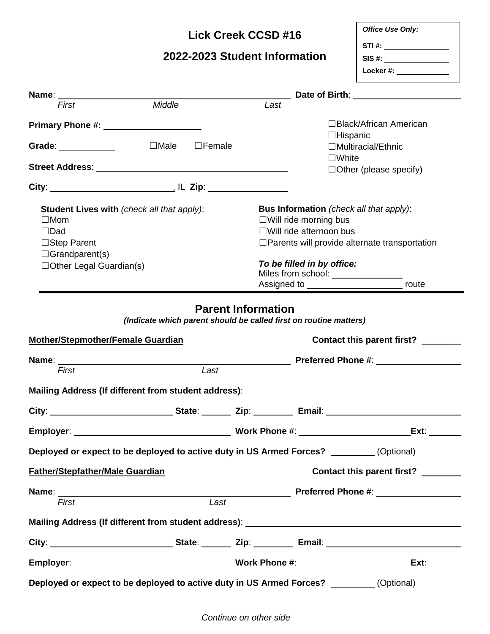### **Lick Creek CCSD #16**

# **2022-2023 Student Information**

| <b>Office Use Only:</b> |  |
|-------------------------|--|
| STI#:                   |  |
| SIS #:                  |  |
| Locker #:               |  |
|                         |  |
|                         |  |

| Name:<br>Date of Birth: The Contract of Birth:                                                                |                                                                                           |      |                                                                                           |                                    |
|---------------------------------------------------------------------------------------------------------------|-------------------------------------------------------------------------------------------|------|-------------------------------------------------------------------------------------------|------------------------------------|
| First                                                                                                         | Middle                                                                                    | Last |                                                                                           |                                    |
| Primary Phone #: Network and Denver Allen and Denver Allen Allen and Denver Allen Allen Allen Allen Allen All |                                                                                           |      | $\Box$ Hispanic                                                                           | $\Box$ Black/African American      |
| Grade: ____________                                                                                           | $\square$ Male<br>$\Box$ Female                                                           |      |                                                                                           | $\Box$ Multiracial/Ethnic          |
|                                                                                                               |                                                                                           |      | $\square$ White                                                                           |                                    |
|                                                                                                               |                                                                                           |      |                                                                                           | $\Box$ Other (please specify)      |
|                                                                                                               |                                                                                           |      |                                                                                           |                                    |
| <b>Student Lives with (check all that apply):</b>                                                             |                                                                                           |      | <b>Bus Information</b> (check all that apply):                                            |                                    |
| $\Box$ Mom                                                                                                    |                                                                                           |      | $\square$ Will ride morning bus                                                           |                                    |
| $\Box$ Dad                                                                                                    |                                                                                           |      | $\square$ Will ride afternoon bus<br>$\Box$ Parents will provide alternate transportation |                                    |
| $\Box$ Step Parent<br>$\Box$ Grandparent(s)                                                                   |                                                                                           |      |                                                                                           |                                    |
| □Other Legal Guardian(s)                                                                                      |                                                                                           |      | To be filled in by office:                                                                |                                    |
|                                                                                                               |                                                                                           |      |                                                                                           |                                    |
|                                                                                                               |                                                                                           |      | Assigned to ______________________________ route                                          |                                    |
| <b>Mother/Stepmother/Female Guardian</b><br>First                                                             | Last<br>Mailing Address (If different from student address): ____________________________ |      |                                                                                           | Contact this parent first? _______ |
|                                                                                                               |                                                                                           |      |                                                                                           |                                    |
|                                                                                                               |                                                                                           |      |                                                                                           | Ext:                               |
|                                                                                                               | Deployed or expect to be deployed to active duty in US Armed Forces? ________(Optional)   |      |                                                                                           |                                    |
| <b>Father/Stepfather/Male Guardian</b>                                                                        |                                                                                           |      |                                                                                           | Contact this parent first? ______  |
|                                                                                                               |                                                                                           |      |                                                                                           |                                    |
| First                                                                                                         | Last                                                                                      |      |                                                                                           |                                    |
|                                                                                                               |                                                                                           |      |                                                                                           |                                    |
|                                                                                                               |                                                                                           |      |                                                                                           |                                    |
|                                                                                                               |                                                                                           |      |                                                                                           | Ext:                               |
|                                                                                                               | Deployed or expect to be deployed to active duty in US Armed Forces? _________(Optional)  |      |                                                                                           |                                    |